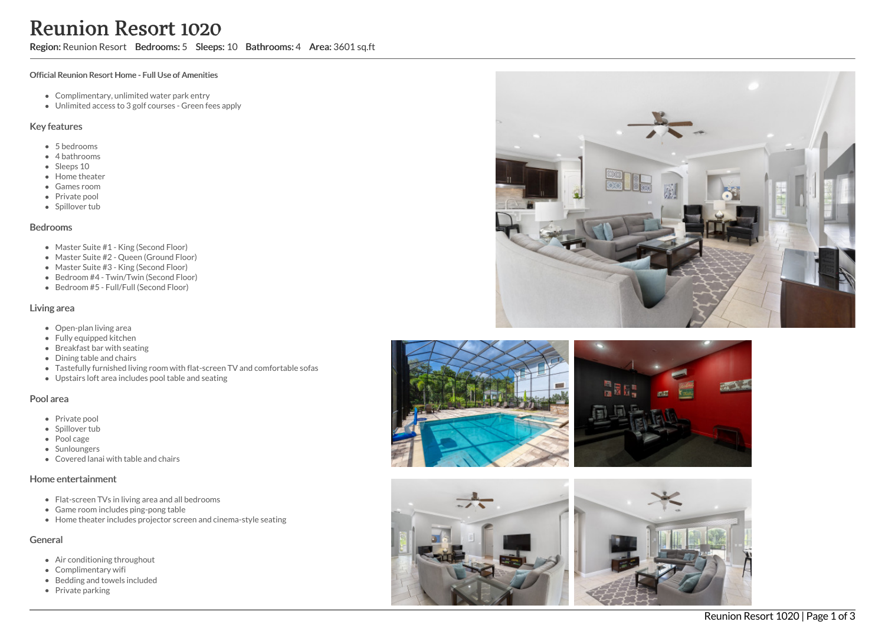# Reunion Resort 1020

## Region: Reunion Resort Bedrooms: 5 Sleeps: 10 Bathrooms: 4 Area: 3601 sq.ft

#### Official Reunion Resort Home - Full Use of Amenities

- Complimentary, unlimited water park entry
- Unlimited access to 3 golf courses Green fees apply

#### Key features

- 5 bedrooms
- 4 bathrooms
- Sleeps 10
- Home theater
- Games room
- Private pool
- Spillover tub

#### Bedrooms

- Master Suite #1 King (Second Floor)
- Master Suite #2 Queen (Ground Floor)
- Master Suite #3 King (Second Floor)
- Bedroom #4 Twin/Twin (Second Floor)
- Bedroom #5 Full/Full (Second Floor)

#### Living area

- Open-plan living area
- Fully equipped kitchen
- Breakfast bar with seating
- Dining table and chairs
- Tastefully furnished living room with flat-screen TV and comfortable sofas
- Upstairs loft area includes pool table and seating

#### Pool area

- Private pool
- Spillover tub
- Pool cage
- Sunloungers
- Covered lanai with table and chairs

## Home entertainment

- Flat-screen TVs in living area and all bedrooms
- Game room includes ping-pong table
- Home theater includes projector screen and cinema-style seating

## General

- Air conditioning throughout
- Complimentary wifi
- Bedding and towels included
- Private parking







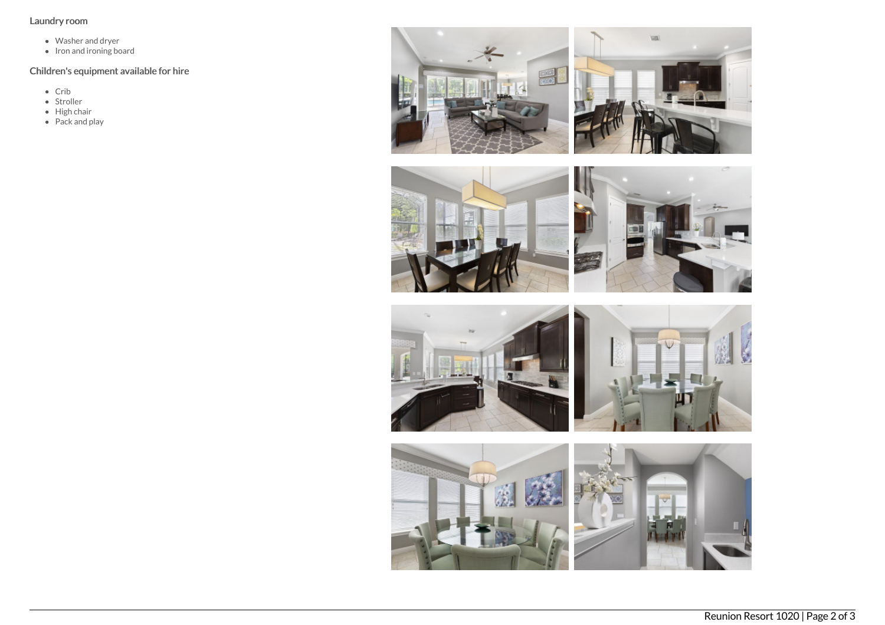## Laundry room

- Washer and dryer
- Iron and ironing board

## Children's equipment available for hire

- $\bullet$  Crib
- Stroller
- High chair
- Pack and play